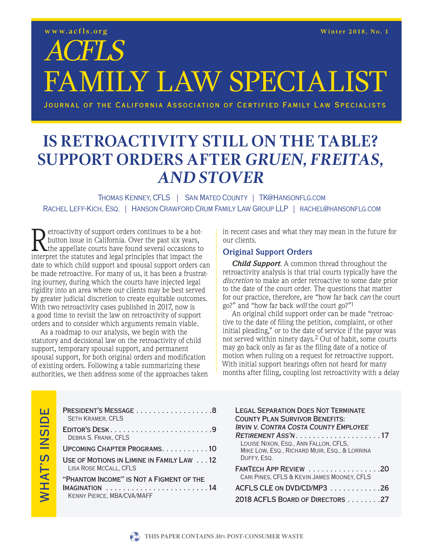## ACFLS FAMILY LAW SPECIALIST

Journal of the California Association of Certified Family Law Specialists

### **IS RETROACT ORDERS A FTER GRUEN, FREITAS. SUPPORT ORDERS AFTER GRUEN, FREITAS, AND STOVER**

Thomas Kenney, CFLS | San Mateo County | TK@Hansonflg.com RACHEL LEFF-KICH, ESQ. | HANSON CRAWFORD CRUM FAMILY LAW GROUP LLP | RACHEL@HANSONFLG.COM

Retroactivity of support orders continues to be a hot-<br>button issue in California. Over the past six years,<br>the appellate courts have found several occasions to<br>interpret the statutes and legal principles that impact the button issue in California. Over the past six years, **L**the appellate courts have found several occasions to interpret the statutes and legal principles that impact the date to which child support and spousal support orders can be made retroactive. For many of us, it has been a frustrating journey, during which the courts have injected legal rigidity into an area where our clients may be best served by greater judicial discretion to create equitable outcomes. With two retroactivity cases published in 2017, now is a good time to revisit the law on retroactivity of support orders and to consider which arguments remain viable.

As a roadmap to our analysis, we begin with the statutory and decisional law on the retroactivity of child support, temporary spousal support, and permanent spousal support, for both original orders and modification of existing orders. Following a table summarizing these authorities, we then address some of the approaches taken in recent cases and what they may mean in the future for our clients.

#### **Original Support Orders**

*Child Support*. A common thread throughout the retroactivity analysis is that trial courts typically have the *discretion* to make an order retroactive to some date prior to the date of the court order. The questions that matter for our practice, therefore, are "how far back *can* the court go?" and "how far back *will* the court go?"1

An original child support order can be made "retroactive to the date of filing the petition, complaint, or other initial pleading," or to the date of service if the payor was not served within ninety days.2 Out of habit, some courts may go back only as far as the filing date of a notice of motion when ruling on a request for retroactive support. With initial support hearings often not heard for many months after filing, coupling lost retroactivity with a delay

| PRESIDENT'S MESSAGE 8<br><b>SETH KRAMER, CFLS</b>                             |
|-------------------------------------------------------------------------------|
| EDITOR'S DESK9<br>DEBRA S. FRANK, CFLS                                        |
| UPCOMING CHAPTER PROGRAMS. 10                                                 |
| USE OF MOTIONS IN LIMINE IN FAMILY LAW 12<br>LISA ROSE MCCALL, CFLS           |
| "PHANTOM INCOME" IS NOT A FIGMENT OF THE<br><b>KENNY PIERCE, MBA/CVA/MAFF</b> |

| <b>LEGAL SEPARATION DOES NOT TERMINATE</b><br><b>COUNTY PLAN SURVIVOR BENEFITS:</b><br><b>IRVIN V. CONTRA COSTA COUNTY EMPLOYEE</b><br>$RETIREMENT ASS'N.$ 17<br>LOUISE NIXON, ESQ., ANN FALLON, CFLS,<br>MIKE LOW, ESQ., RICHARD MUIR, ESQ., & LORRINA<br>DUFFY, ESQ. |
|------------------------------------------------------------------------------------------------------------------------------------------------------------------------------------------------------------------------------------------------------------------------|
| FAMTECH APP REVIEW 20<br>CARI PINES, CFLS & KEVIN JAMES MOONEY, CFLS                                                                                                                                                                                                   |
| ACFLS CLE ON DVD/CD/MP3 26                                                                                                                                                                                                                                             |
| 2018 ACFLS BOARD OF DIRECTORS 27                                                                                                                                                                                                                                       |

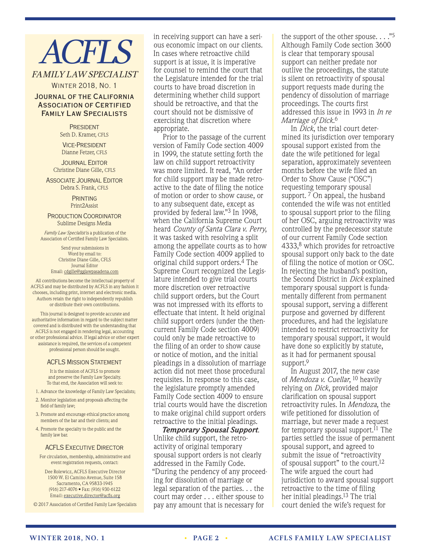# **ACFLS**

#### FAMILY LAW SPECIALIST

Winter 2018, No. 1

#### Journal of the California Association of Certified Family Law Specialists

**PRESIDENT** Seth D. Kramer, CFLS

Vice-President Dianne Fetzer, CFLS

**JOURNAL EDITOR** Christine Diane Gille, CFLS

**ASSOCIATE JOURNAL EDITOR** Debra S. Frank, CFLS

> **PRINTING** Print2Assist

Production Coordinator Sublime Designs Media

*Family Law Specialist* is a publication of the Association of Certified Family Law Specialists.

> Send your submissions in Word by email to: Christine Diane Gille, CFLS Journal Editor Email: cdgille@gglawpasadena.com

All contributions become the intellectual property of ACFLS and may be distributed by ACFLS in any fashion it chooses, including print, internet and electronic media. Authors retain the right to independently republish or distribute their own contributions.

This journal is designed to provide accurate and authoritative information in regard to the subject matter covered and is distributed with the understanding that ACFLS is not engaged in rendering legal, accounting or other professional advice. If legal advice or other expert assistance is required, the services of a competent professional person should be sought.

#### ACFLS Mission Statement

It is the mission of ACFLS to promote and preserve the Family Law Specialty. To that end, the Association will seek to:

- 1. Advance the knowledge of Family Law Specialists;
- 2. Monitor legislation and proposals affecting the field of family law;
- 3. Promote and encourage ethical practice among members of the bar and their clients; and
- 4. Promote the specialty to the public and the family law bar.

#### **ACFLS EXECUTIVE DIRECTOR**

For circulation, membership, administrative and event registration requests, contact:

Dee Rolewicz, ACFLS Executive Director 1500 W. El Camino Avenue, Suite 158 Sacramento, CA 95833-1945 (916) 217-4076 • Fax: (916) 930-6122 Email: executive.director@acfls.org

© 2017 Association of Certified Family Law Specialists

in receiving support can have a serious economic impact on our clients. In cases where retroactive child support is at issue, it is imperative for counsel to remind the court that the Legislature intended for the trial courts to have broad discretion in determining whether child support should be retroactive, and that the court should not be dismissive of exercising that discretion where appropriate.

Prior to the passage of the current version of Family Code section 4009 in 1999, the statute setting forth the law on child support retroactivity was more limited. It read, "An order for child support may be made retroactive to the date of filing the notice of motion or order to show cause, or to any subsequent date, except as provided by federal law."3 In 1998, when the California Supreme Court heard *County of Santa Clara v. Perry*, it was tasked with resolving a split among the appellate courts as to how Family Code section 4009 applied to original child support orders.4 The Supreme Court recognized the Legislature intended to give trial courts more discretion over retroactive child support orders, but the Court was not impressed with its efforts to effectuate that intent. It held original child support orders (under the thencurrent Family Code section 4009) could only be made retroactive to the filing of an order to show cause or notice of motion, and the initial pleadings in a dissolution of marriage action did not meet those procedural requisites. In response to this case, the legislature promptly amended Family Code section 4009 to ensure trial courts would have the discretion to make original child support orders retroactive to the initial pleadings.

*Temporary Spousal Support*. Unlike child support, the retroactivity of original temporary spousal support orders is not clearly addressed in the Family Code. "During the pendency of any proceeding for dissolution of marriage or legal separation of the parties. . . the court may order . . . either spouse to pay any amount that is necessary for

the support of the other spouse.  $\ldots$ ."<sup>5</sup> Although Family Code section 3600 is clear that temporary spousal support can neither predate nor outlive the proceedings, the statute is silent on retroactivity of spousal support requests made during the pendency of dissolution of marriage proceedings. The courts first addressed this issue in 1993 in *In re Marriage of Dick*. 6

In *Dick*, the trial court determined its jurisdiction over temporary spousal support existed from the date the wife petitioned for legal separation, approximately seventeen months before the wife filed an Order to Show Cause ("OSC") requesting temporary spousal support. <sup>7</sup> On appeal, the husband contended the wife was not entitled to spousal support prior to the filing of her OSC, arguing retroactivity was controlled by the predecessor statute of our current Family Code section 4333,8 which provides for retroactive spousal support only back to the date of filing the notice of motion or OSC. In rejecting the husband's position, the Second District in *Dick* explained temporary spousal support is fundamentally different from permanent spousal support, serving a different purpose and governed by different procedures, and had the legislature intended to restrict retroactivity for temporary spousal support, it would have done so explicitly by statute, as it had for permanent spousal support.<sup>9</sup>

In August 2017, the new case of *Mendoza v. Cuellar*, 10 heavily relying on *Dick*, provided major clarification on spousal support retroactivity rules. In *Mendoza*, the wife petitioned for dissolution of marriage, but never made a request for temporary spousal support.<sup> $11$ </sup> The parties settled the issue of permanent spousal support, and agreed to submit the issue of "retroactivity of spousal support" to the court.12 The wife argued the court had jurisdiction to award spousal support retroactive to the time of filing her initial pleadings.13 The trial court denied the wife's request for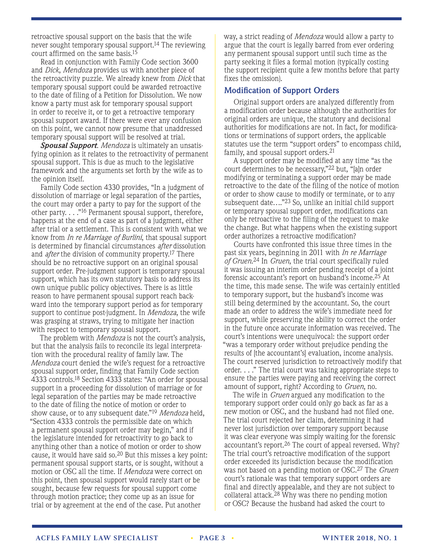retroactive spousal support on the basis that the wife never sought temporary spousal support.14 The reviewing court affirmed on the same basis.15

Read in conjunction with Family Code section 3600 and *Dick*, *Mendoza* provides us with another piece of the retroactivity puzzle. We already knew from *Dick* that temporary spousal support could be awarded retroactive to the date of filing of a Petition for Dissolution. We now know a party must ask for temporary spousal support in order to receive it, or to get a retroactive temporary spousal support award. If there were ever any confusion on this point, we cannot now presume that unaddressed temporary spousal support will be resolved at trial.

*Spousal Support*. *Mendoza* is ultimately an unsatisfying opinion as it relates to the retroactivity of permanent spousal support. This is due as much to the legislative framework and the arguments set forth by the wife as to the opinion itself.

Family Code section 4330 provides, "In a judgment of dissolution of marriage or legal separation of the parties, the court may order a party to pay for the support of the other party. . . ."16 Permanent spousal support, therefore, happens at the end of a case as part of a judgment, either after trial or a settlement. This is consistent with what we know from *In re Marriage of Burlini*, that spousal support is determined by financial circumstances *after* dissolution and *after* the division of community property.17 There should be no retroactive support on an original spousal support order. Pre-judgment support is temporary spousal support, which has its own statutory basis to address its own unique public policy objectives. There is as little reason to have permanent spousal support reach backward into the temporary support period as for temporary support to continue post-judgment. In *Mendoza*, the wife was grasping at straws, trying to mitigate her inaction with respect to temporary spousal support.

The problem with *Mendoza* is not the court's analysis, but that the analysis fails to reconcile its legal interpretation with the procedural reality of family law. The *Mendoza* court denied the wife's request for a retroactive spousal support order, finding that Family Code section 4333 controls.18 Section 4333 states: "An order for spousal support in a proceeding for dissolution of marriage or for legal separation of the parties may be made retroactive to the date of filing the notice of motion or order to show cause, or to any subsequent date."19 *Mendoza* held, "Section 4333 controls the permissible date on which a permanent spousal support order may begin," and if the legislature intended for retroactivity to go back to anything other than a notice of motion or order to show cause, it would have said so.20 But this misses a key point: permanent spousal support starts, or is sought, without a motion or OSC all the time. If *Mendoza* were correct on this point, then spousal support would rarely start or be sought, because few requests for spousal support come through motion practice; they come up as an issue for trial or by agreement at the end of the case. Put another

way, a strict reading of *Mendoza* would allow a party to argue that the court is legally barred from ever ordering any permanent spousal support until such time as the party seeking it files a formal motion (typically costing the support recipient quite a few months before that party fixes the omission).

#### **Modification of Support Orders**

Original support orders are analyzed differently from a modification order because although the authorities for original orders are unique, the statutory and decisional authorities for modifications are not. In fact, for modifications or terminations of support orders, the applicable statutes use the term "support orders" to encompass child, family, and spousal support orders.<sup>21</sup>

A support order may be modified at any time "as the court determines to be necessary,"22 but, "[a]n order modifying or terminating a support order may be made retroactive to the date of the filing of the notice of motion or order to show cause to modify or terminate, or to any subsequent date…."23 So, unlike an initial child support or temporary spousal support order, modifications can only be retroactive to the filing of the request to make the change. But what happens when the existing support order authorizes a retroactive modification?

Courts have confronted this issue three times in the past six years, beginning in 2011 with *In re Marriage of Gruen*.24 In *Gruen*, the trial court specifically ruled it was issuing an interim order pending receipt of a joint forensic accountant's report on husband's income.25 At the time, this made sense. The wife was certainly entitled to temporary support, but the husband's income was still being determined by the accountant. So, the court made an order to address the wife's immediate need for support, while preserving the ability to correct the order in the future once accurate information was received. The court's intentions were unequivocal: the support order "was a temporary order without prejudice pending the results of [the accountant's] evaluation, income analysis. The court reserved jurisdiction to retroactively modify that order. . . ." The trial court was taking appropriate steps to ensure the parties were paying and receiving the correct amount of support, right? According to *Gruen*, no.

The wife in *Gruen* argued any modification to the temporary support order could only go back as far as a new motion or OSC, and the husband had not filed one. The trial court rejected her claim, determining it had never lost jurisdiction over temporary support because it was clear everyone was simply waiting for the forensic accountant's report.26 The court of appeal reversed. Why? The trial court's retroactive modification of the support order exceeded its jurisdiction because the modification was not based on a pending motion or OSC.27 The *Gruen*  court's rationale was that temporary support orders are final and directly appealable, and they are not subject to collateral attack.28 Why was there no pending motion or OSC? Because the husband had asked the court to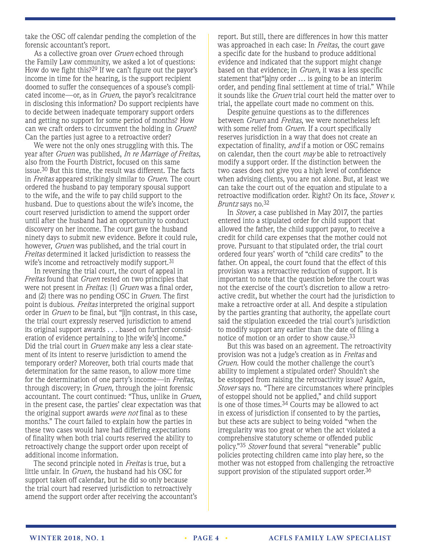take the OSC off calendar pending the completion of the forensic accountant's report.

As a collective groan over *Gruen* echoed through the Family Law community, we asked a lot of questions: How do we fight this?29 If we can't figure out the payor's income in time for the hearing, is the support recipient doomed to suffer the consequences of a spouse's complicated income—or, as in *Gruen*, the payor's recalcitrance in disclosing this information? Do support recipients have to decide between inadequate temporary support orders and getting no support for some period of months? How can we craft orders to circumvent the holding in *Gruen*? Can the parties just agree to a retroactive order?

We were not the only ones struggling with this. The year after *Gruen* was published, *In re Marriage of Freitas*, also from the Fourth District, focused on this same issue.30 But this time, the result was different. The facts in *Freitas* appeared strikingly similar to *Gruen*. The court ordered the husband to pay temporary spousal support to the wife, and the wife to pay child support to the husband. Due to questions about the wife's income, the court reserved jurisdiction to amend the support order until after the husband had an opportunity to conduct discovery on her income. The court gave the husband ninety days to submit new evidence. Before it could rule, however, *Gruen* was published, and the trial court in *Freitas* determined it lacked jurisdiction to reassess the wife's income and retroactively modify support.<sup>31</sup>

In reversing the trial court, the court of appeal in *Freitas* found that *Gruen* rested on two principles that were not present in *Freitas*: (1) *Gruen* was a final order, and (2) there was no pending OSC in *Gruen*. The first point is dubious. *Freitas* interpreted the original support order in *Gruen* to be final, but "[i]n contrast, in this case, the trial court expressly reserved jurisdiction to amend its original support awards . . . based on further consideration of evidence pertaining to [the wife's] income." Did the trial court in *Gruen* make any less a clear statement of its intent to reserve jurisdiction to amend the temporary order? Moreover, both trial courts made that determination for the same reason, to allow more time for the determination of one party's income—in *Freitas*, through discovery; in *Gruen*, through the joint forensic accountant. The court continued: "Thus, unlike in *Gruen*, in the present case, the parties' clear expectation was that the original support awards *were not* final as to these months." The court failed to explain how the parties in these two cases would have had differing expectations of finality when both trial courts reserved the ability to retroactively change the support order upon receipt of additional income information.

The second principle noted in *Freitas* is true, but a little unfair. In *Gruen,* the husband had his OSC for support taken off calendar, but he did so only because the trial court had reserved jurisdiction to retroactively amend the support order after receiving the accountant's report. But still, there are differences in how this matter was approached in each case: In *Freitas*, the court gave a specific date for the husband to produce additional evidence and indicated that the support might change based on that evidence; in *Gruen*, it was a less specific statement that"[a]ny order … is going to be an interim order, and pending final settlement at time of trial." While it sounds like the *Gruen* trial court held the matter over to trial, the appellate court made no comment on this.

Despite genuine questions as to the differences between *Gruen* and *Freitas*, we were nonetheless left with some relief from *Gruen*. If a court specifically reserves jurisdiction in a way that does not create an expectation of finality, *and* if a motion or OSC remains on calendar, then the court *may* be able to retroactively modify a support order. If the distinction between the two cases does not give you a high level of confidence when advising clients, you are not alone. But, at least we can take the court out of the equation and stipulate to a retroactive modification order. Right? On its face, *Stover v. Bruntz* says no.32

In *Stover*, a case published in May 2017, the parties entered into a stipulated order for child support that allowed the father, the child support payor, to receive a credit for child care expenses that the mother could not prove. Pursuant to that stipulated order, the trial court ordered four years' worth of "child care credits" to the father. On appeal, the court found that the effect of this provision was a retroactive reduction of support. It is important to note that the question before the court was not the exercise of the court's discretion to allow a retroactive credit, but whether the court had the jurisdiction to make a retroactive order at all. And despite a stipulation by the parties granting that authority, the appellate court said the stipulation exceeded the trial court's jurisdiction to modify support any earlier than the date of filing a notice of motion or an order to show cause.33

But this was based on an agreement. The retroactivity provision was not a judge's creation as in *Freitas* and *Gruen*. How could the mother challenge the court's ability to implement a stipulated order? Shouldn't she be estopped from raising the retroactivity issue? Again, *Stover* says no. "There are circumstances where principles of estoppel should not be applied," and child support is one of those times.<sup>34</sup> Courts may be allowed to act in excess of jurisdiction if consented to by the parties, but these acts are subject to being voided "when the irregularity was too great or when the act violated a comprehensive statutory scheme or offended public policy."35 *Stover* found that several "venerable" public policies protecting children came into play here, so the mother was not estopped from challenging the retroactive support provision of the stipulated support order.<sup>36</sup>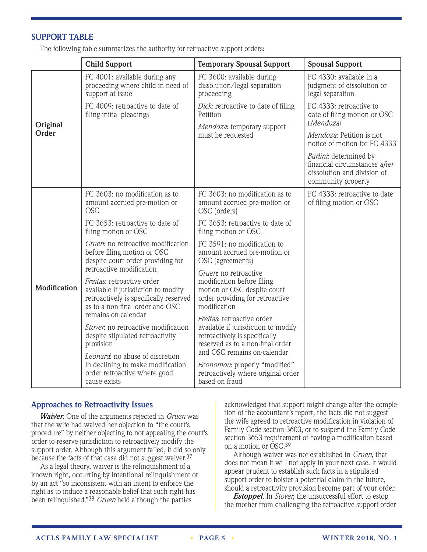#### **SUPPORT TABLE**

The following table summarizes the authority for retroactive support orders:

|                   | <b>Child Support</b>                                                                                                                                                  | <b>Temporary Spousal Support</b>                                                                                                                                    | <b>Spousal Support</b>                                                                                       |
|-------------------|-----------------------------------------------------------------------------------------------------------------------------------------------------------------------|---------------------------------------------------------------------------------------------------------------------------------------------------------------------|--------------------------------------------------------------------------------------------------------------|
| Original<br>Order | FC 4001: available during any<br>proceeding where child in need of<br>support at issue                                                                                | FC 3600: available during<br>dissolution/legal separation<br>proceeding                                                                                             | FC 4330: available in a<br>judgment of dissolution or<br>legal separation                                    |
|                   | FC 4009: retroactive to date of<br>filing initial pleadings                                                                                                           | Dick: retroactive to date of filing<br>Petition<br>Mendoza: temporary support                                                                                       | FC 4333: retroactive to<br>date of filing motion or OSC<br>(Mendoza)                                         |
|                   |                                                                                                                                                                       | must be requested                                                                                                                                                   | Mendoza: Petition is not<br>notice of motion for FC 4333                                                     |
|                   |                                                                                                                                                                       |                                                                                                                                                                     | Burlini: determined by<br>financial circumstances after<br>dissolution and division of<br>community property |
| Modification      | FC 3603: no modification as to<br>amount accrued pre-motion or<br><b>OSC</b>                                                                                          | FC 3603: no modification as to<br>amount accrued pre-motion or<br>OSC (orders)                                                                                      | FC 4333: retroactive to date<br>of filing motion or OSC                                                      |
|                   | FC 3653: retroactive to date of<br>filing motion or OSC                                                                                                               | FC 3653: retroactive to date of<br>filing motion or OSC                                                                                                             |                                                                                                              |
|                   | Gruen: no retroactive modification<br>before filing motion or OSC<br>despite court order providing for<br>retroactive modification                                    | FC 3591: no modification to<br>amount accrued pre-motion or<br>OSC (agreements)                                                                                     |                                                                                                              |
|                   | Freitas: retroactive order<br>available if jurisdiction to modify<br>retroactively is specifically reserved<br>as to a non-final order and OSC<br>remains on-calendar | Gruen: no retroactive<br>modification before filing<br>motion or OSC despite court<br>order providing for retroactive<br>modification<br>Freitas: retroactive order |                                                                                                              |
|                   | Stover, no retroactive modification<br>despite stipulated retroactivity<br>provision                                                                                  | available if jurisdiction to modify<br>retroactively is specifically<br>reserved as to a non-final order<br>and OSC remains on-calendar                             |                                                                                                              |
|                   | Leonard: no abuse of discretion<br>in declining to make modification<br>order retroactive where good<br>cause exists                                                  | <i>Economou:</i> properly "modified"<br>retroactively where original order<br>based on fraud                                                                        |                                                                                                              |

#### **Approaches to Retroactivity Issues**

*Waiver*. One of the arguments rejected in *Gruen* was that the wife had waived her objection to "the court's procedure" by neither objecting to nor appealing the court's order to reserve jurisdiction to retroactively modify the support order. Although this argument failed, it did so only because the facts of that case did not suggest waiver.37

As a legal theory, waiver is the relinquishment of a known right, occurring by intentional relinquishment or by an act "so inconsistent with an intent to enforce the right as to induce a reasonable belief that such right has been relinquished."38 *Gruen* held although the parties

acknowledged that support might change after the completion of the accountant's report, the facts did not suggest the wife agreed to retroactive modification in violation of Family Code section 3603, or to suspend the Family Code section 3653 requirement of having a modification based on a motion or OSC.39

Although waiver was not established in *Gruen*, that does not mean it will not apply in your next case. It would appear prudent to establish such facts in a stipulated support order to bolster a potential claim in the future, should a retroactivity provision become part of your order.

*Estoppel*. In *Stover*, the unsuccessful effort to estop the mother from challenging the retroactive support order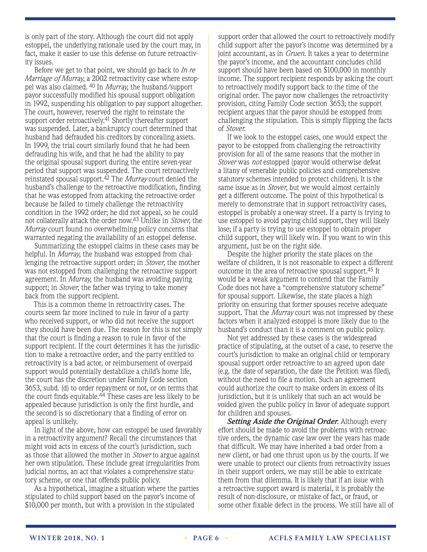is only part of the story. Although the court did not apply estoppel, the underlying rationale used by the court may, in fact, make it easier to use this defense on future retroactivity issues.

Before we get to that point, we should go back to *In re Marriage of Murray*, a 2002 retroactivity case where estoppel was also claimed. 40 In *Murray*, the husband/support payor successfully modified his spousal support obligation in 1992, suspending his obligation to pay support altogether. The court, however, reserved the right to reinstate the support order retroactively.<sup>41</sup> Shortly thereafter support was suspended. Later, a bankruptcy court determined that husband had defrauded his creditors by concealing assets. In 1999, the trial court similarly found that he had been defrauding his wife, and that he had the ability to pay the original spousal support during the entire seven-year period that support was suspended. The court retroactively reinstated spousal support.42 The *Murray* court denied the husband's challenge to the retroactive modification, finding that he was estopped from attacking the retroactive order because he failed to timely challenge the retroactivity condition in the 1992 order; he did not appeal, so he could not collaterally attack the order now.43 Unlike in *Stover*, the *Murray* court found no overwhelming policy concerns that warranted negating the availability of an estoppel defense.

Summarizing the estoppel claims in these cases may be helpful. In *Murray*, the husband was estopped from challenging the retroactive support order; in *Stover*, the mother was not estopped from challenging the retroactive support agreement. In *Murray*, the husband was avoiding paying support; in *Stover*, the father was trying to take money back from the support recipient.

This is a common theme in retroactivity cases. The courts seem far more inclined to rule in favor of a party who received support, or who did not receive the support they should have been due. The reason for this is not simply that the court is finding a reason to rule in favor of the support recipient. If the court determines it has the jurisdiction to make a retroactive order, and the party entitled to retroactivity is a bad actor, or reimbursement of overpaid support would potentially destabilize a child's home life, the court has the discretion under Family Code section 3653, subd. (d) to order repayment or not, or on terms that the court finds equitable.<sup>44</sup> These cases are less likely to be appealed because jurisdiction is only the first hurdle, and the second is so discretionary that a finding of error on appeal is unlikely.

In light of the above, how can estoppel be used favorably in a retroactivity argument? Recall the circumstances that might void acts in excess of the court's jurisdiction, such as those that allowed the mother in *Stover* to argue against her own stipulation. These include great irregularities from judicial norms, an act that violates a comprehensive statutory scheme, or one that offends public policy.

As a hypothetical, imagine a situation where the parties stipulated to child support based on the payor's income of \$10,000 per month, but with a provision in the stipulated

support order that allowed the court to retroactively modify child support after the payor's income was determined by a joint accountant, as in *Gruen*. It takes a year to determine the payor's income, and the accountant concludes child support should have been based on \$100,000 in monthly income. The support recipient responds by asking the court to retroactively modify support back to the time of the original order. The payor now challenges the retroactivity provision, citing Family Code section 3653; the support recipient argues that the payor should be estopped from challenging the stipulation. This is simply flipping the facts of *Stover*.

If we look to the estoppel cases, one would expect the payor to be estopped from challenging the retroactivity provision for all of the same reasons that the mother in *Stover* was *not* estopped (payor would otherwise defeat a litany of venerable public policies and comprehensive statutory schemes intended to protect children). It is the same issue as in *Stover*, but we would almost certainly get a different outcome. The point of this hypothetical is merely to demonstrate that in support retroactivity cases, estoppel is probably a one-way street. If a party is trying to use estoppel to avoid paying child support, they will likely lose; if a party is trying to use estoppel to obtain proper child support, they will likely win. If you want to win this argument, just be on the right side.

Despite the higher priority the state places on the welfare of children, it is not reasonable to expect a different outcome in the area of retroactive spousal support.45 It would be a weak argument to contend that the Family Code does not have a "comprehensive statutory scheme" for spousal support. Likewise, the state places a high priority on ensuring that former spouses receive adequate support. That the *Murray* court was not impressed by these factors when it analyzed estoppel is more likely due to the husband's conduct than it is a comment on public policy.

Not yet addressed by these cases is the widespread practice of stipulating, at the outset of a case, to reserve the court's jurisdiction to make an original child or temporary spousal support order retroactive to an agreed upon date (e.g. the date of separation, the date the Petition was filed), without the need to file a motion. Such an agreement could authorize the court to make orders in excess of its jurisdiction, but it is unlikely that such an act would be voided given the public policy in favor of adequate support for children and spouses.

*Setting Aside the Original Order*. Although every effort should be made to avoid the problems with retroactive orders, the dynamic case law over the years has made that difficult. We may have inherited a bad order from a new client, or had one thrust upon us by the courts. If we were unable to protect our clients from retroactivity issues in their support orders, we may still be able to extricate them from that dilemma. It is likely that if an issue with a retroactive support award is material, it is probably the result of non-disclosure, or mistake of fact, or fraud, or some other fixable defect in the process. We still have all of